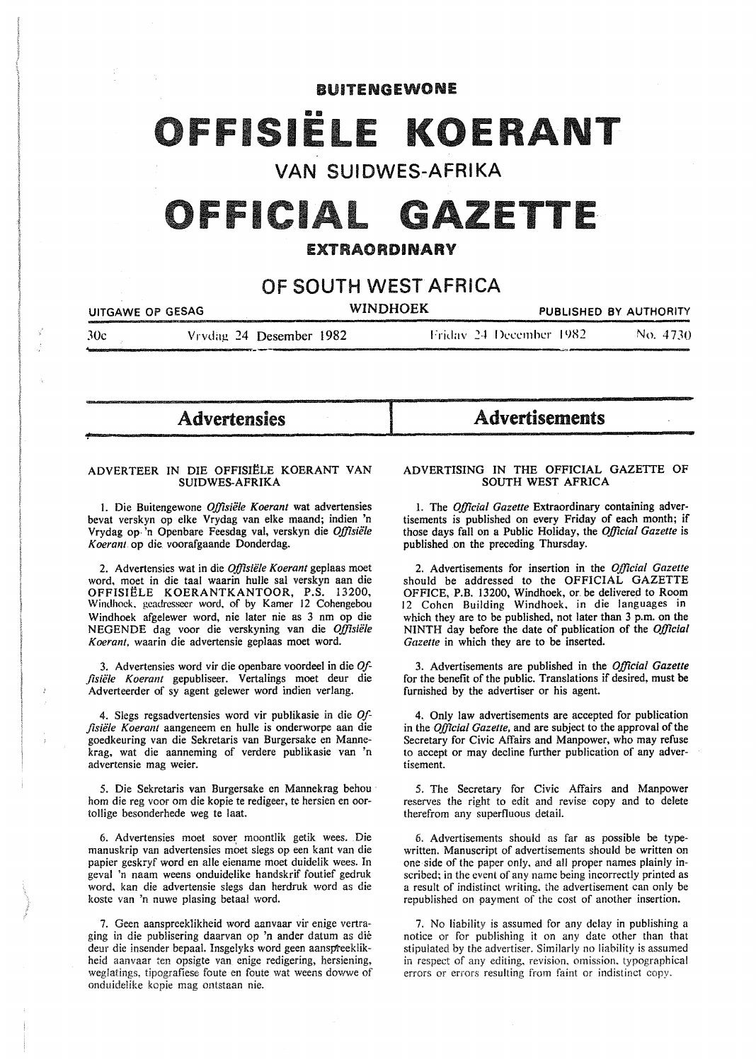# **BUITENGEWONE**

# FFISIËLE KOEI

# VAN SUIDWES-AFRIKA

# OFFICIAL GAZETTE

# EXTRAORDINARY

# OF SOUTH WEST AFRICA

| UITGAWE OP GESAG |                         | <b>WINDHOEK</b> |                          | PUBLISHED BY AUTHORITY |
|------------------|-------------------------|-----------------|--------------------------|------------------------|
| 30c              | Vrydag 24 Desember 1982 |                 | Friday 24 December 1982. | No. 4730               |

**I** 

Advertensies

.....

*"!-*

#### ADVERTEER IN DIE OFFISIËLE KOERANT VAN SUIDWES-AFRIKA

1. Die Buitengewone *Offisiële Koerant* wat advertensies bevat verskyn op elke Vrydag van elke maand; indien 'n Vrydag op<sup>3</sup>n Openbare Feesdag val, verskyn die Offisiële *Koeranl* op die voorafgaande Donderdag.

2. Advertensies wat in die *Offisiële Koerant* geplaas moet word. moet in die taal waarin hulle sal verskyn aan die OFFISIELE KOERANTKANTOOR, P.S. 13200, Windhoek. geadresseer word. of by Kamer 12 Cohengebou Windhoek afgelewer word, nie later nie as 3 nm op die NEGENDE dag voor die verskyning van die *Offisiiile Koerant,* waarin die advertensie geplaas rnoet word.

3. Advertensies word vir die openbare voordeel in die *Of fisiele Koerant* gepubliseer. Vertalings rnoet deur die Adverteerder of sy agent gelewer word indien verlang.

4. Slegs regsadvertensies word vir publikasie in die *Offisii!le Koerant* aangeneern en hulle is onderworpe aan die goedkeuring van die Sekretaris van Burgersake en Mannekrag, wat die aanneming of verdere publikasie van 'n advertensie mag weier.

5. Die Sekretaris van Burgersake en Mannekrag behou hom die reg voor om die kopie te redigeer, te hersien en oortollige besonderhede weg te laat.

6. Advertensies moet sover moontlik getik wees. Die manuskrip van advertensies moet slegs op een kant van die papier geskryf word en aile eiename moet duidelik wees. In geval 'n naam weens onduidelike handskrif foutief gedruk word, kan die advertensie slegs dan herdruk word as die koste van 'n nuwe plasing betaal word.

7. Geen aanspreek1ikheid word aanvaar vir enige vertraging in die publisering daarvan op 'n ander datum as die deur die insender bepaal. Insgelyks word geen aanspteeklikheid aanvaar ten opsigte van enige redigering, hersiening, weglatings, tipografiese foute en foute wat weens dowwe of onduidelike kopie mag ontstaan nie.

# ADVERTISING IN THE OFFICIAL GAZETTE OF SOUTH WEST AFRICA

Advertisements

1. The *Official Gazette* Extraordinary containing advertisements is published on every Friday of each month; if those days fall on a Public Holiday, the *Official Gazette* is published on the preceding Thursday.

2. Advertisements for insertion in the *Official Gazette*  should be addressed to the OFFICIAL GAZETTE OFFICE, P.B. 13200, Windhoek, or. be delivered to Room 12 Cohen Building Windhoek, in die languages in which they are to be published, not later than 3 p.m. on the NINTH day before the date of publication of the *Official Gazette* in which they are to be inserted.

3. Advertisements are published in the *Official Gazette*  for the benefit of the public. Translations if desired, must be furnished by the advertiser or his agent.

4. Only law advertisements are accepted for publication in the *Official Gazette,* and are subject to the approval of the Secretary for Civic Affairs and Manpower, who may refuse to accept or may decline further publication of any advertisement.

5. The Secretary for Civic Affairs and Manpower reserves the right to edit and revise copy and to delete therefrom any superfluous detail.

6. Advertisements should as far as possible be typewritten. Manuscript of advertisements should be written on one side of the paper only, and all proper names plainly inscribed; in the event of any name being incorrectly printed as a result of indistinct writing. the advertisement can only be republished on payment of the cost of another insertion.

7. No liability is assumed for any delay in publishing a notice or for publishing it on any date other than that stipulated by the advertiser. Similarly no liability is assumed in respect of any editing. revision. omission. typographical errors or errors resulting from faint or indistinct copy.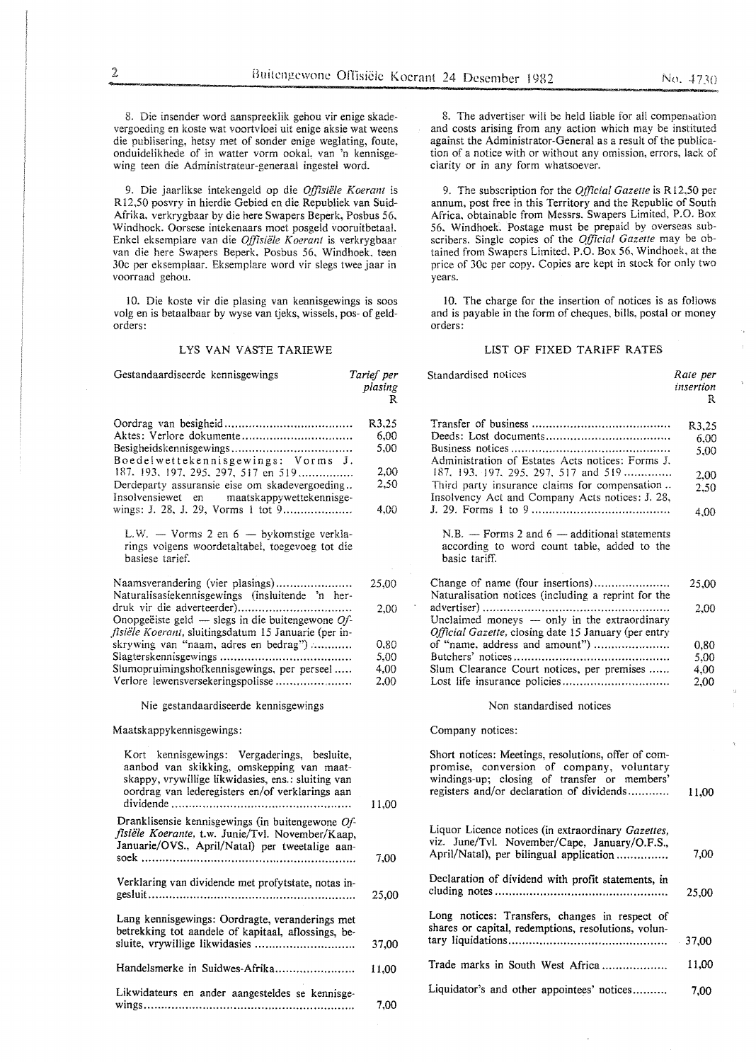8. Die insender word aanspreeklik gehou vir enige skadevergoeding en koste wat voortvloei uit enige aksie wat weens die publisering, hetsy met of sonder enige weglating, foute, onduidelikhede of in watter vorm ookal, van 'n kennisgewing teen die Administrateur-generaal ingestel word.

9. Die jaarlikse intekengeld op die *Offisiele Koerant* is R12,50 posvry in hierdie Gebied en die Republiek van Suid-Afrika, verkrygbaar by die here Swapers Beperk, Posbus 56, Windhoek. Oorsese intekenaars moet posgeld vooruitbetaal. Enkel eksemplare van die *Offisiële Koerant* is verkrygbaar van die here Swapers Beperk. Posbus 56, Windhoek. teen 30c per eksemplaar. Eksemplare word vir slegs twee jaar in voorraad gehou.

10. Die koste vir die plasing van kennisgewings is soos volg en is betaalbaar by wyse van tjeks, wissels, pos- of geldorders:

#### LYS VAN VASTE TARIEWE

| Gestandaardiseerde kennisgewings                                                                                                                                                                                                                                                                                                | Tarief per<br>plasing<br>R                    | Standardised notices                                                                                                                                                                                                                        | Rate per<br>insertion<br>R                    |
|---------------------------------------------------------------------------------------------------------------------------------------------------------------------------------------------------------------------------------------------------------------------------------------------------------------------------------|-----------------------------------------------|---------------------------------------------------------------------------------------------------------------------------------------------------------------------------------------------------------------------------------------------|-----------------------------------------------|
| Boedelwettekennisgewings: Vorms J.<br>187. 193, 197, 295, 297, 517 en 519<br>Derdeparty assuransie eise om skadevergoeding<br>Insolvensiewet en<br>maatskappywettekennisge-<br>wings: J. 28, J. 29, Vorms 1 tot 9                                                                                                               | R3,25<br>6.00<br>5,00<br>2,00<br>2,50<br>4.00 | Administration of Estates Acts notices: Forms J.<br>$187, 193, 197, 295, 297, 517, 510, \ldots$<br>Third party insurance claims for compensation<br>Insolvency Act and Company Acts notices: J. 28,                                         | R3,25<br>6,00<br>5,00<br>2,00<br>2.50<br>4.00 |
| L.W. $-$ Vorms 2 en 6 $-$ by komstige verkla-<br>rings volgens woordetaltabel, toegevoeg tot die<br>basiese tarief.                                                                                                                                                                                                             |                                               | $N.B.$ - Forms 2 and 6 - additional statements<br>according to word count table, added to the<br>basic tariff.                                                                                                                              |                                               |
| Naamsverandering (vier plasings)<br>Naturalisasiekennisgewings (insluitende 'n her-<br>Onopgeëiste geld — slegs in die buitengewone $Qf$ -<br>fisiële Koerant, sluitingsdatum 15 Januarie (per in-<br>skrywing van "naam, adres en bedrag")<br>Slumopruimingshofkennisgewings, per perseel<br>Verlore lewensversekeringspolisse | 25,00<br>2,00<br>0,80<br>5,00<br>4,00<br>2.00 | Naturalisation notices (including a reprint for the<br>Unclaimed moneys - only in the extraordinary<br>Official Gazette, closing date 15 January (per entry<br>of "name, address and amount")<br>Slum Clearance Court notices, per premises | 25,00<br>2,00<br>0,80<br>5,00<br>4,00<br>2,00 |
| Nie gestandaardiseerde kennisgewings                                                                                                                                                                                                                                                                                            |                                               | Non standardised notices                                                                                                                                                                                                                    |                                               |
| Maatskappykennisgewings:                                                                                                                                                                                                                                                                                                        |                                               | Company notices:                                                                                                                                                                                                                            |                                               |
| Kort kennisgewings: Vergaderings, besluite,<br>aanbod van skikking, omskepping van maat-<br>skappy, vrywillige likwidasies, ens.: sluiting van<br>oordrag van lederegisters en/of verklarings aan                                                                                                                               | 11,00                                         | Short notices: Meetings, resolutions, offer of com-<br>promise, conversion of company, voluntary<br>windings-up; closing of transfer or members'<br>registers and/or declaration of dividends                                               | 11,00                                         |
| Dranklisensie kennisgewings (in buitengewone Of-<br>fisiële Koerante, t.w. Junie/Tvl. November/Kaap,<br>Januarie/OVS., April/Natal) per tweetalige aan-                                                                                                                                                                         | 7,00                                          | Liquor Licence notices (in extraordinary Gazettes,<br>viz. June/Tvl. November/Cape, January/O.F.S.,<br>April/Natal), per bilingual application                                                                                              | 7,00                                          |
| Verklaring van dividende met profytstate, notas in-                                                                                                                                                                                                                                                                             | 25,00                                         | Declaration of dividend with profit statements, in                                                                                                                                                                                          | 25,00                                         |
| Lang kennisgewings: Oordragte, veranderings met<br>betrekking tot aandele of kapitaal, aflossings, be-<br>sluite, vrywillige likwidasies                                                                                                                                                                                        | 37,00                                         | Long notices: Transfers, changes in respect of<br>shares or capital, redemptions, resolutions, volun-                                                                                                                                       | 37,00                                         |
| Handelsmerke in Suidwes-Afrika                                                                                                                                                                                                                                                                                                  | 11,00                                         | Trade marks in South West Africa                                                                                                                                                                                                            | 11,00                                         |
| Likwidateurs en ander aangesteldes se kennisge-                                                                                                                                                                                                                                                                                 | 7,00                                          | Liquidator's and other appointees' notices                                                                                                                                                                                                  | 7,00                                          |

8. The advertiser will be held liable for all compensation and costs arising from any action which may be instituted against the Administrator-General as a result of the publication of a notice with or without any omission, errors, lack of

9. The subscription for the *Official Gazette* is R 12,50 per annum, post free in this Territory and the Republic of South Africa, obtainable from Messrs. Swapers Limited, P.O. Box 56. Windhoek. Postage must be prepaid by overseas subscribers. Single copies of the *Official Gazette* may be obtained from Swapers Limited, P.O. Box 56, Windhoek, at the price of 30c per copy. Copies are kept in stock for only two years.

clarity or in any form whatsoever.

10. The charge for the insertion of notices is as follows and is payable in the form of cheques, bills, postal or money orders:

#### LIST OF FIXED TARIFF RATES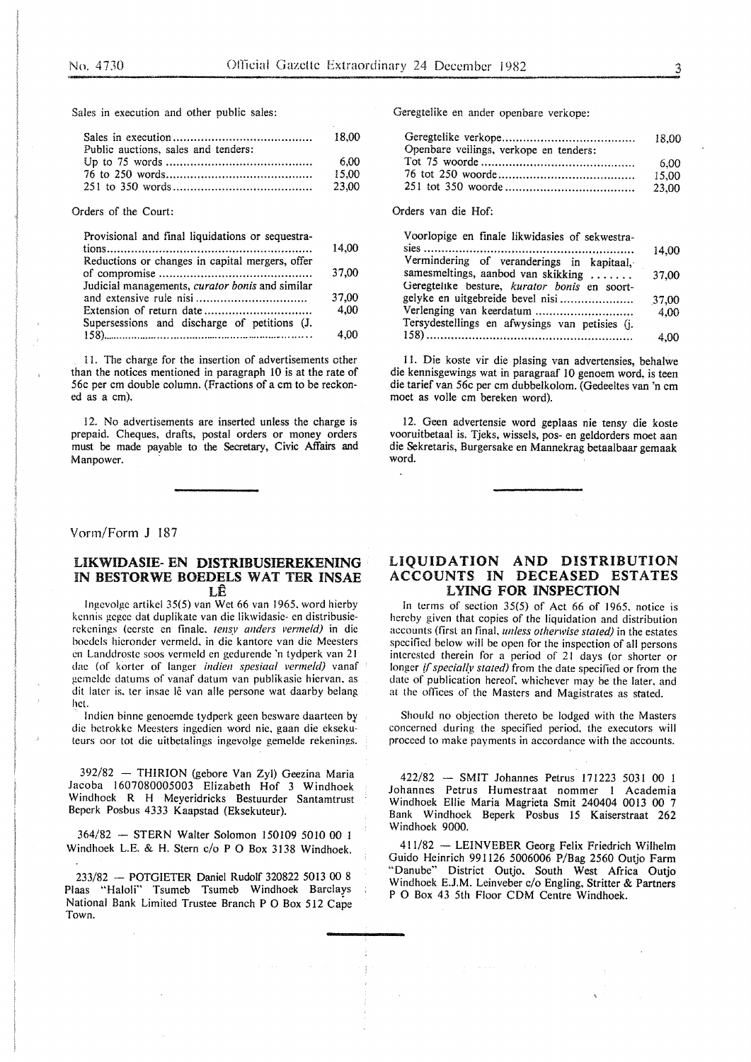Sales in execution and other public sales:

| Public auctions, sales and tenders: |       |
|-------------------------------------|-------|
|                                     | 6.00  |
|                                     | 15.00 |
|                                     | 23.00 |

Orders of the Court:

| Provisional and final liquidations or sequestra- |       |
|--------------------------------------------------|-------|
|                                                  | 14.00 |
| Reductions or changes in capital mergers, offer  |       |
|                                                  | 37,00 |
| Judicial managements, curator bonis and similar  |       |
|                                                  | 37,00 |
|                                                  | 4.00  |
| Supersessions and discharge of petitions (J.     |       |
|                                                  | 4.00  |

11. The charge for the insertion of advertisements other than the notices mentioned in paragraph 10 is at the rate of 56c per em double column. (Fractions of a em to be reckoned as a em).

12. No advertisements are inserted unless the charge is prepaid. Cheques, drafts, postal orders or money orders must be made payable to the Secretary, Civic Affairs and Manpower.

#### Vorm/Form J 187

### UKWIDASIE- EN DISTRIBUSIEREKENING IN BESTORWE BOEDELS WAT TER INSAE LE

lngcvolgc artikel 35(5) van Wet 66 van 1965, word hierby kcnnis gcgec dat duplikate van die likwidasie- en distribusierekenings (eerste en finale. *tensy anders vermeld)* in die bocdels hieronder vermeld. in die kantore van die Meesters en Landdroste soos vermeld en gedurende 'n tydperk van 21 dae (of kortcr of Ianger *indien spesiaa/ vermeld)* vanaf gemelde datums of vanaf datum van publikasic hiervan. as dit later is, ter insae lê van alle persone wat daarby belang het.

lndien binne genoemde tydperk geen besware daarteen by die betrokke Meesters ingedien word nie, gaan die eksekuteurs oor tot die uitbetalings ingevolge gemelde rekenings.

392/82 - THIRION (gebore Van Zyl) Geezina Maria Jacoba 1607080005003 Elizabeth Hof 3 Windhoek Windhoek R H Meyeridricks Bestuurder Santamtrust Beperk Posbus 4333 Kaapstad (Eksekuteur).

364/82 - STERN Walter Solomon 150109 5010 00 1 Windhoek L.E. & H. Stern c/o P 0 Box 3138 Windhoek.

233/82 - POTGIETER Daniel Rudolf 320822 5013 00 8 Plaas "Haloli" Tsumeb Tsumeb Windhoek Barclays National Bank Limited Trustee Branch P 0 Box 512 Cape Town.

Geregtelike en ander openbare verkope:

|                                        | 18.00 |
|----------------------------------------|-------|
| Openbare veilings, verkope en tenders: |       |
|                                        | 6.00  |
|                                        | 15.00 |
|                                        | 23.00 |

Orders van die Hof:

| Voorlopige en finale likwidasies of sekwestra- |       |
|------------------------------------------------|-------|
|                                                | 14,00 |
| Vermindering of veranderings in kapitaal,      |       |
| samesmeltings, aanbod van skikking             | 37,00 |
| Geregtelike besture, kurator bonis en soort-   |       |
| gelyke en uitgebreide bevel nisi               | 37.00 |
| Verlenging van keerdatum                       | 4.00  |
| Tersydestellings en afwysings van petisies (j. |       |
|                                                | 4.00  |
|                                                |       |

11. Die koste vir die plasing van advertensies, behalwe die kennisgewings wat in paragraaf 10 genoem word, is teen die tarief van 56c per em dubbelkolom. (Gedeeltes van 'n em moet as voile em bereken word).

12. Geen advertensie word geplaas nie tensy die koste vooruitbetaal is. Tjeks, wissels, pos- en geldorders moet aan die Sekretaris, Burgersake en Mannekrag betaalbaar gemaak word.

# LIQUIDATION AND DISTRIBUTION ACCOUNTS IN DECEASED ESTATES LYING FOR INSPECTION

ln terms of section 35(5) of Act 66 of 1965. notice is hereby given that copies of the liquidation and distribution accounts (first an final. *unless otherwise stated)* in the estates specified below will be open for the inspection of all persons interested therein for a period of 21 days (or shorter or longer *if specially stated)* from the date specified or from the date of publication hereof. whichever may be the later. and at the offices of the Masters and Magistrates as stated.

Should no objection thereto be lodged with the Masters concerned during the specified period. the executors will proceed to make payments in accordance with the accounts.

422/82 - SMIT Johannes Petrus 171223 5031 00 I Johannes Petrus Humestraat nommer 1 Academia Windhoek Ellie Maria Magrieta Smit 240404 0013 00 7 Bank Windhoek Beperk Posbus 15 Kaiserstraat 262 Windhoek 9000.

411/82 - LEINVEBER Georg Felix Friedrich Wilhelm Guido Heinrich 991 126 5006006 P/Bag 2560 Outjo Farm "Danube" District Outjo. South West Africa Outjo Windhoek E.J.M. Leinveber c/o Engling, Stritter & Partners P 0 Box 43 5th Floor CDM Centre Windhoek.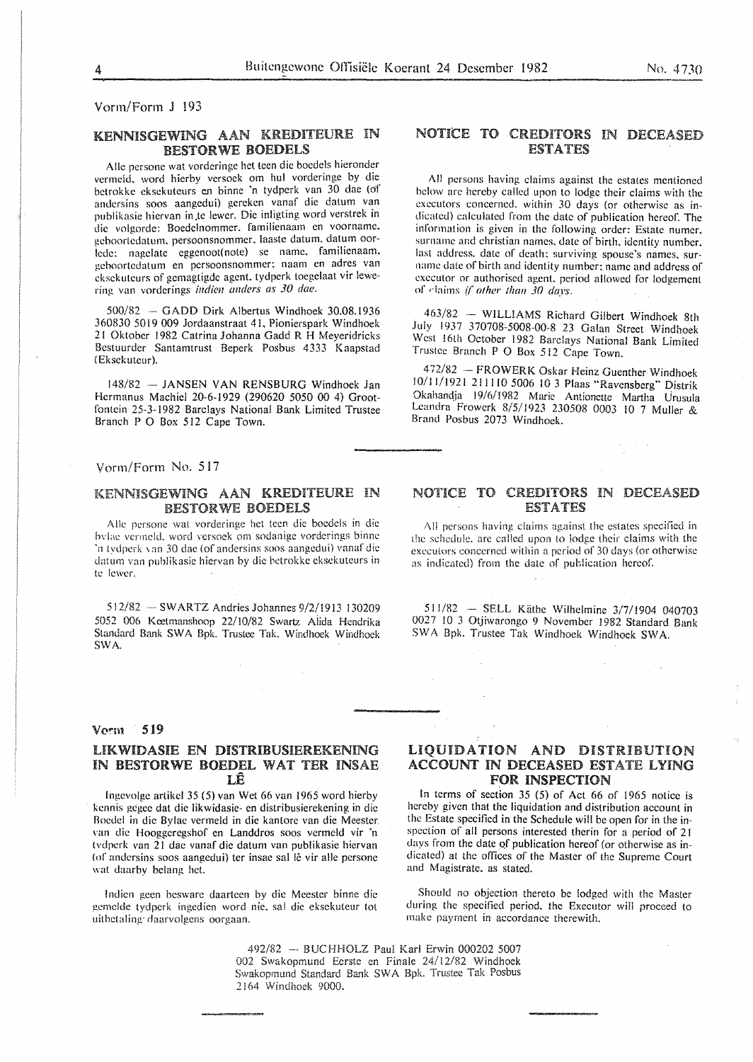Vorm/Form J !93

# KENNISGEWING AAN KREDITEURE IN BESTORWE BOEDELS

Alle persone wat vorderinge het teen die boedels hieronder vermeld, word hierby versoek om hul vorderinge by die betrokke cksekuteurs en binne 'n tydperk van 30 dac (of andcrsins soos aangedui) gereken vanaf die datum van publikasic hicrvan in .te !ewer. Die inligting word verstrek in die volgordc: Boedelnommcr. familienaam en voornamc. gcboortedatum. pcrsoonsnommer. laaste datum. datum oor lede: nagelate eggenoot(note) se name, familienaam. gcboortcdatum en pcrsoonsnommcr: naam en adres van cksckutcurs of gcmagtigdc agent. tydpcrk toegelaat vir !ewering van vorderings *indien anders as 30 dae.* 

500/82 GADD Dirk A!bertus Windhoek 30.08.!936 360830 5019 009 Jordaanstraat 41, Pionierspark Windhoek 21 Oktober 1982 Catrina Johanna Gadd R H Meyeridricks Bcstuurder Santamtrust Beperk Posbus 4333 Kaapstad (Eksekuteur).

148/82 -- JANSEN VAN RENSBURG Windhoek Jan Hcrmanus Machicl 20-6-1929 (290620 5050 00 4) Grootfontcin 25-3-1982 Barclays National Bank Limited Trustee Branch P 0 Box 512 Cape Town.

### Vorm/Form No. 517

## KENNISGEWING AAN KREDITEURE IN BESTORWE BOEDELS

Alle persone wat vorderinge het teen die boedels in die hvlae vermeld, word versoek om sodanige vorderings binne 'n tydperk van 30 dae (of andersins soos aangedui) vanaf die datum van puhlikasie hiervan by die hetrokkc cksekutcurs in te lewer.

512/82 --SWARTZ Andries Johannes 9/2/1913 130209 5052 006 Kcetmanshoop 22/10/82 Swartz Aiida Hendrika Standard Bank SWA Bpk. Trustee Tak. Windhoek Windhoek SWA.

#### Vorm 519

# LIKWIDASIE EN DISTRIBUSIEREKENING IN BESTORWE BOEDEL WAT TER INSAE LE

lngcvolge artikcl 35 (5) van Wet 66 van 1965 word hierby kcnnis gegec dat die likwidasie- en distribusierekening in die Bocdel in die Bylac venneld in die kantore van die Meester van die Hooggeregshof en Landdros soos vermeld vir 'n tvdpcrk van 21 dae vanaf die datum van publikasie hiervan (of andersins soos aangedui) ter insae sal lê vir alle persone wat daarby belang het.

!ndicn gcen bcswarc daartccn by die Meester binne die gemelde tydperk ingedien word nie, sal die eksekuteur tot uithetaling· daarvolgens oorgaan.

# NOTICE TO CREDITORS IN DECEASED ESTATES

All persons having claims against the estates mentioned below arc hereby called upon to lodge their claims with the executors concerned. within 30 days (or otherwise as indicated) calculated from the date of publication hereof. The information is given in the following order: Estate numcr. surname and christian names, date of birth, identity number. last address. date of death: surviving spouse's names. surname date of birth and identity number: name and address of executor or authorised agent. period allowed for lodgement or rlaims *{(other than 30 days.* 

463/82 -- WILLIAMS Richard Gilbert Windhoek 8th July 1937 370708-5008-00-8 23 Galan Street Windhoek West 16th October 1982 Barclays National Bank Limited Trustee Branch P 0 Box 512 Cape Town.

472/82 FROWERK Oskar Heinz Guenther Windhoek 10/1 I/1921 211110 5006 10 3 Plaas "Ravensberg" Distrik Okahandja 19/6/1982 Marie Antionctte Martha Urusula Leandra Frowerk 8/5/1923 230508 0003 10 7 Muller & Brand Posbus 2073 Windhoek.

## NOTICE TO CREDITORS IN DECEASED **ESTATES**

All persons having claims against the estates specified in the schedule, are called upon to lodge their claims with the executors concerned within a period of 30 days (or otherwise as indicated) from the date of publication hereof.

 $511/82$  - SELL Käthe Wilhelmine  $3/7/1904$  040703 0027 10 3 Otjiwarongo 9 November 1982 Standard Bank SW A Bpk. Trustee Tak Windhoek Windhoek SW A.

# LIQUIDATION AND DISTRIBUTION ACCOUNT IN DECEASED ESTATE LYING FOR INSPECTION

In terms of section 35 (5) of Act 66 of 1965 notice is hereby given that the liquidation and distribution account in the Estate specified in the Schedule will be open for in the inspection of all persons interested therin for a period of 21 days from the date of publication hereof (or otherwise as indicated) at the offices of the Master of the Supreme Court and Magistrate. as stated.

Should no objection thereto be lodged with the Master during the specified period. the Executor will proceed to make payment in accordance therewith.

492/82 --· BUCHHOLZ Paul Karl Erwin 000202 5007 002 Swakopmund Ecrste en Finale 24/12/82 Windhoek Swakopmund Standard Bank SW A Bpk. Trustee Tak Posbus 2164 Windhoek 9000.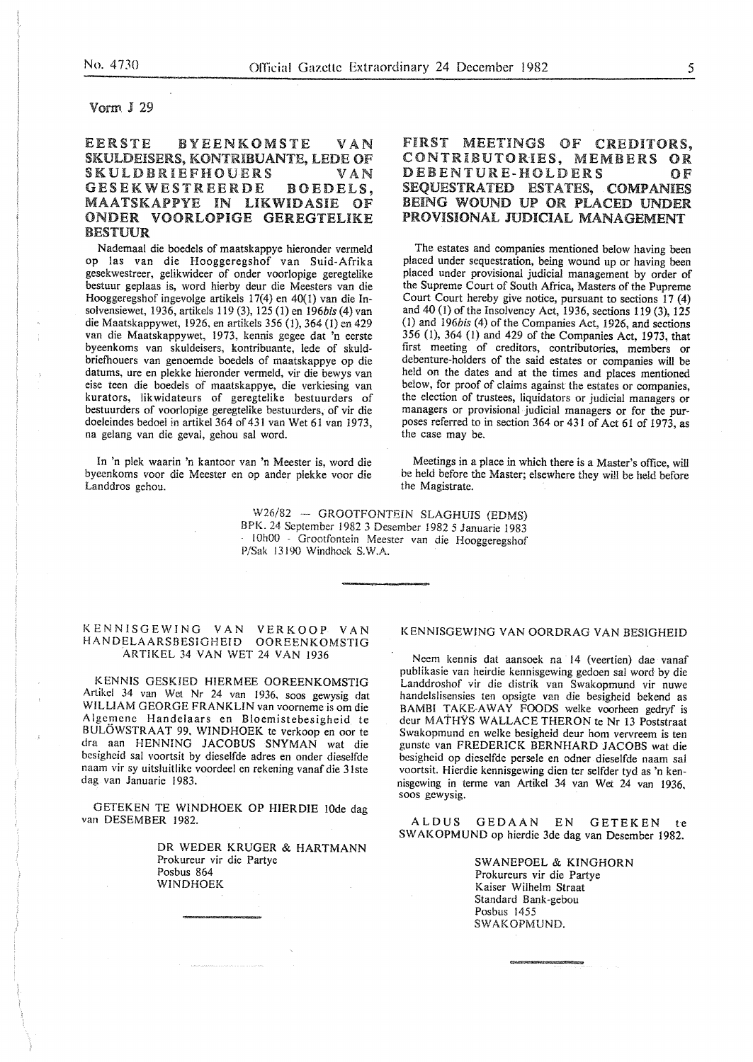### Vorm. J 29

# EERSTE BYEENKOMSTE VAN SKULDEISERS, KONTRIBUANTE, LEDE OF SKULDBRIEFHOUERS VAN<br>GESEKWESTREERDE BOEDELS. **GESEKWESTREERDE** MAATSKAPPYE IN LIKWIDASIE OF ONDER VOORLOPIGE GEREGTELIKE BESTUUR

Nademaal die boedels of maatskappye hieronder vermeld op las van die Hooggeregshof van Suid-Afrika gesekwestreer, gelikwideer of onder voorlopige geregtelike bestuur geplaas is, word hierby deur die Meesters van die Hooggeregshof ingevolge artikels 17(4) en 40{1) van die Insolvensiewet, 1936, artikels 119 (3), 125 (1) en *196bis* (4) van die Maatskappywet, 1926, en artikels 356 (1), 364 (I) en 429 van die Maatskappywet, 1973, kennis gegee dat 'n eerste byeenkoms van skuldeisers, kontribuante, lede of skuldbriefhouers van genoemde boedels of maatskappye op die datums, ure en plekke hieronder vermeld, vir die bewys van eise teen die boedels of maatskappye, die verkiesing van kurators, likwidateurs of geregtelike bestuurders of bestuurders of voorlopige geregtelike bestuurders, of vir die doeleindes bedoel in artikel 364 of 431 van Wet 61 van 1973, na gelang van die geval, gehou sal word.

In 'n plek waarin 'n kantoor van 'n Meester is, word die byeenkoms voor die Meester en op ander piekke voor die Landdros gehou.

# FIRST MEETINGS OF CREDITORS, CONTRIBUTORIES, MEMBERS OR DEBENTURE-HOLDERS OF SEQUESTRATED ESTATES, COMPANIES BEING WOUND UP OR PLACED UNDER PROVISIONAL JUDICIAL MANAGEMENT

The estates and companies mentioned below having been placed under sequestration, being wound up or having been placed under provisional judicial management by order of the Supreme Court of South Africa, Masters of the Pupreme Court Court hereby give notice, pursuant to sections 17 (4) and 40 (1) of the Insolvency Act, 1936, sections 119 (3), 125 (1) and *196bis* (4) of the Companies Act, 1926, and sections 356 (I), 364 (1) and 429 of the Companies Act, 1973, that first meeting of creditors, contributories, members or debenture-holders of the said estates or companies will be held on the dates and at the times and places mentioned below, for proof of claims against the estates or companies, the election of trustees, liquidators or judicial managers or managers or provisional judicial managers or for the purposes referred to in section 364 or 431 of Act 61 of 1973, as the case may be.

Meetings in a place in which there is a Master's office, will be held before the Master; elsewhere they will be held before the Magistrate.

W26/82 - GROOTFONTEIN SLAGHUIS (EDMS) BPK. 24 September 1982 3 Desember 1982 5 Januarie 1983 10h00 - Grootfontein Meester van die Hooggeregshof P/Sak l3l90 Windhoek S.W.A.

#### KENNISGEWING VAN VERKOOP VAN HANDELAARSBESIGHEID OOREENKOMSTIG ARTIKEL 34 VAN WET 24 VAN 1936

K ENNIS GESKJED HIERMEE OOREENKOMSTIG Artikel 34 van Wet Nr 24 van 1936, soos gewysig dat WILLIAM GEORGE FRANKLIN van voorneme is om die A lgemene Handelaars en Bloemistebesigheid te BULOWSTRAAT 99, WINDHOEK te verkoop en oor te dra aan HENNING JACOBUS SNYMAN wat die bcsigheid sal voortsit by dieselfde adres en onder dieselfde naam vir sy uitsluitlikc voordeel en rekening vanaf die 3lste dag van Januarie 1983.

GETEKEN TE WINDHOEK OP HIERDIE lOde dag van DESEMBER 1982.

> DR WEDER KRUGER & HARTMANN Prokureur vir die Partye Posbus 864 WINDHOEK

### KENNISGEWING VAN OORDRAG VAN BESIGHEID

Neem kennis dat aansoek na 14 (veertien) dae vanaf publikasie van heirdie kennisgewing gedoen sal word by die Landdroshof vir die distrik van Swakopmund vir nuwe handclslisensies ten opsigte van die besigheid bekend as BAMBI TAKE-AWAY FOODS welke voorheen gedryf is deur MATHYS WALLACE THERON te Nr 13 Poststraat Swakopmund en welke besigheid deur hom vervreem is ten gunste van FREDERICK BERNHARD JACOBS wat die bcsigheid op dieselfde persele en odner dieselfde naam sal voortsit. Hierdie kennisgewing dien ter selfder tyd as 'n kennisgcwing in terme van Artikel 34 van Wet 24 van 1936, soos gewysig.

ALDUS GEDAAN EN GETEKEN te SWAKOPMUND op hierdie 3de dag van Desember 1982.

> SWANEPOEL & KINGHORN Prokureurs vir die Partye Kaiser Wilhelm Straat Standard Bank-gebou Posbus 1455 SWAKOPMUND.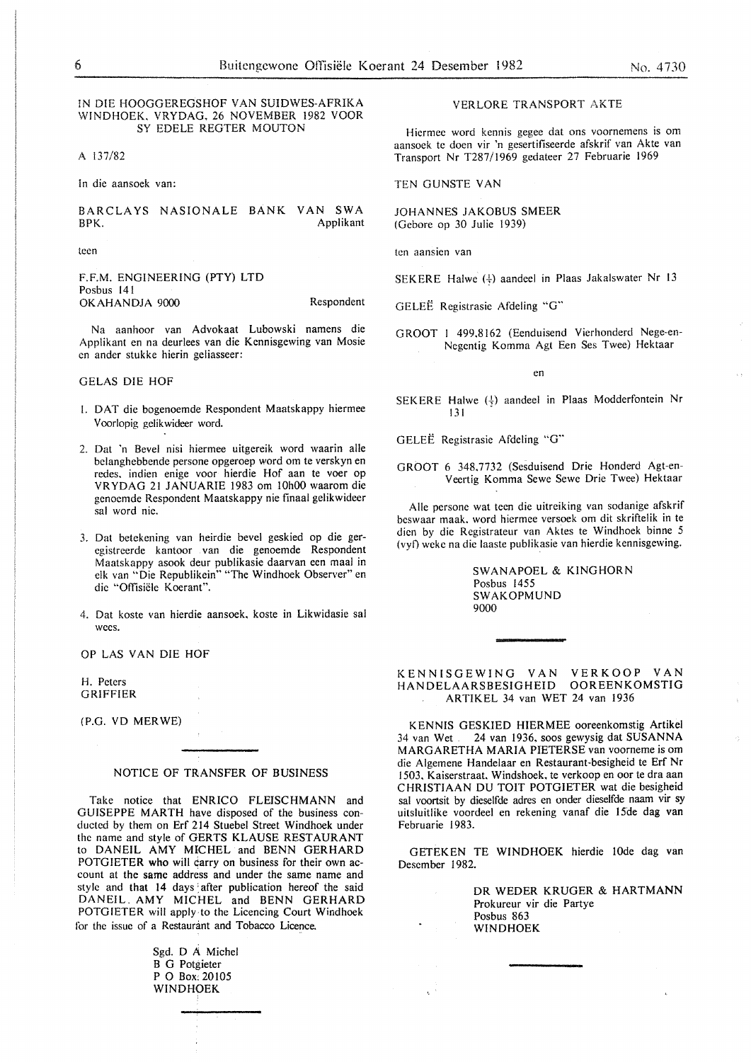#### IN DIE HOOGGEREGSHOF VAN SUIDWES-AFRIKA WINDHOEK. VRYDAG, 26 NOVEMBER 1982 VOOR SY EDELE REGTER MOUTON

A 137/82

ln die aansoek van:

BARCLAYS NASIONALE BANK VAN SWA BPK. Applikant

teen

F.F.M. ENGINEERING (PTY) LTD Posbus 141 OKAHANDJA 9000 Respondent

Na aanhoor van Advokaat Lubowski namens die Applikant en na deurlees van die Kennisgewing van Mosie en ander stukke hierin geliasseer:

#### GELAS DIE HOF

- I. DAT die bogenoemde Respondent Maatskappy hiermee Voorlopig gclikwideer word.
- 2. Dat 'n Bevel nisi hiermee uitgereik word waarin aile bclanghebbende persone opgeroep word om te verskyn en rcdes. indien enige voor hierdie Hof aan te voer op VRYDAG 21 JANUARIE 1983 om !OhOO waarom die genoemde Respondent Maatskappy nie finaal gelikwideer sal word nie.
- 3. Dat betekening van heirdie bevel geskied op die geregistreerde kantoor van die genoemde Respondent Maatskappy asook deur publikasie daarvan een maal in elk van "Die Republikein" "The Windhoek Observer" en die "Offisiële Koerant".
- 4. Dat koste van hierdie aansoek, koste in Likwidasie sal wees.

OP LAS VAN DIE HOF

H. Peters GRIFFIER

(P.G. VD MERWE)

#### NOTICE OF TRANSFER OF BUSINESS

Take notice that ENRICO FLEISCHMANN and GUISEPPE MARTH have disposed of the business conducted by them on Erf 214 Stuebe! Street Windhoek under the name and style of GERTS KLAUSE RESTAURANT to DANEIL AMY MICHEL and BENN GERHARD POTGIETER who will carry on business for their own account at the same address and under the same name and style and that 14 days after publication hereof the said DANEIL. AMY MICHEL and BENN GERHARD POTGIETER will apply to the Licencing Court Windhoek for the issue of a Restaurant and Tobacco Licence.

> Sgd. D A Michel B G Potgieter P 0 Box: 20105 WINDHOEK

VERLORE TRANSPORT AKTE

Hiermec word kennis gegee dat ons voornemens is om aansoek te doen vir 'n gesertifiseerde afskrif van Akte van Transport Nr T287/1969 gedateer 27 Februarie 1969

TEN GUNSTE VAN

JOHANNES JAKOBUS SMEER {Gebore op 30 Julie 1939)

ten aansien van

SEKERE Halwe  $(\frac{1}{3})$  aandeel in Plaas Jakalswater Nr 13

GELEE Registrasie Afdeling "G"

GROOT I 499.8162 (Eenduisend Vierhonderd Nege-en-Negentig Komma Agt Een Ses Twee) Hektaar

en

SEKERE Halwe  $(\frac{1}{2})$  aandeel in Plaas Modderfontein Nr 131

GELEE Registrasie Afdeling "G"

GROOT 6 348.7732 (Sesduisend Drie Honderd Agt-en-Veertig Komma Sewe Sewe Drie Twee) Hektaar

Aile persone wat teen die uitreiking van sodanige afskrif bcswaar maak. word hiermee versoek om dit skriftelik in te dien by die Registrateur van Aktes te Windhoek binne 5 {vyf) wekc na die laaste publikasie van hierdie kennisgewing.

> SWANAPOEL & KINGHORN Posbus 1455 SWAKOPMUND 9000

#### KENNISGEWING VAN VERKOOP VAN HANDELAARSBESIGHEID OOREENKOMSTIG ARTIKEL 34 van WET 24 van 1936

KENNIS GESKIED HIERMEE ooreenkomstig Artikel<br>34 van Wet 24 van 1936, soos gewysig dat SUSANNA 24 van 1936, soos gewysig dat SUSANNA MARGARETHA MARIA PIETERSE van voorneme is om die Algemene Handelaar en Restaurant-besigheid te Erf Nr 1503, Kaiserstraat. Windshoek. te verkoop en oor te dra aan CHRISTIAAN DU TOIT POTGIETER wat die besigheid sal voortsit by dieselfde adres en onder dieselfde naam vir sy uitsluitlike voordeel en rekening vanaf die 15de dag van Februarie 1983.

GETEKEN TE WINDHOEK hierdie lOde dag van Desember 1982.

> DR WEDER KRUGER & HARTMANN Prokureur vir die Partye Posbus 863 WINDHOEK